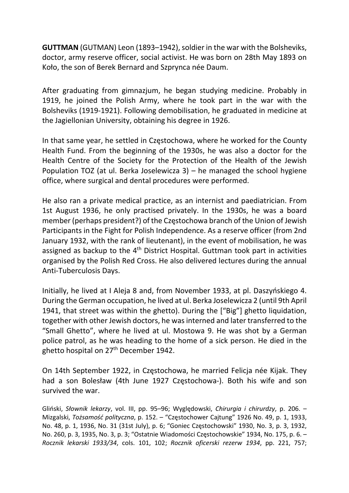GUTTMAN (GUTMAN) Leon (1893–1942), soldier in the war with the Bolsheviks, doctor, army reserve officer, social activist. He was born on 28th May 1893 on Koło, the son of Berek Bernard and Szprynca née Daum.

After graduating from gimnazjum, he began studying medicine. Probably in 1919, he joined the Polish Army, where he took part in the war with the Bolsheviks (1919-1921). Following demobilisation, he graduated in medicine at the Jagiellonian University, obtaining his degree in 1926.

In that same year, he settled in Częstochowa, where he worked for the County Health Fund. From the beginning of the 1930s, he was also a doctor for the Health Centre of the Society for the Protection of the Health of the Jewish Population TOZ (at ul. Berka Joselewicza 3) – he managed the school hygiene office, where surgical and dental procedures were performed.

He also ran a private medical practice, as an internist and paediatrician. From 1st August 1936, he only practised privately. In the 1930s, he was a board member (perhaps president?) of the Częstochowa branch of the Union of Jewish Participants in the Fight for Polish Independence. As a reserve officer (from 2nd January 1932, with the rank of lieutenant), in the event of mobilisation, he was assigned as backup to the  $4<sup>th</sup>$  District Hospital. Guttman took part in activities organised by the Polish Red Cross. He also delivered lectures during the annual Anti-Tuberculosis Days.

Initially, he lived at I Aleja 8 and, from November 1933, at pl. Daszyńskiego 4. During the German occupation, he lived at ul. Berka Joselewicza 2 (until 9th April 1941, that street was within the ghetto). During the ["Big"] ghetto liquidation, together with other Jewish doctors, he was interned and later transferred to the "Small Ghetto", where he lived at ul. Mostowa 9. He was shot by a German police patrol, as he was heading to the home of a sick person. He died in the ghetto hospital on 27<sup>th</sup> December 1942.

On 14th September 1922, in Częstochowa, he married Felicja née Kijak. They had a son Bolesław (4th June 1927 Częstochowa-). Both his wife and son survived the war.

Gliński, Słownik lekarzy, vol. III, pp. 95–96; Wyględowski, Chirurgia i chirurdzy, p. 206. – Mizgalski, Tożsamość polityczna, p. 152. – "Częstochower Cajtung" 1926 No. 49, p. 1, 1933, No. 48, p. 1, 1936, No. 31 (31st July), p. 6; "Goniec Częstochowski" 1930, No. 3, p. 3, 1932, No. 260, p. 3, 1935, No. 3, p. 3; "Ostatnie Wiadomości Częstochowskie" 1934, No. 175, p. 6. – Rocznik lekarski 1933/34, cols. 101, 102; Rocznik oficerski rezerw 1934, pp. 221, 757;